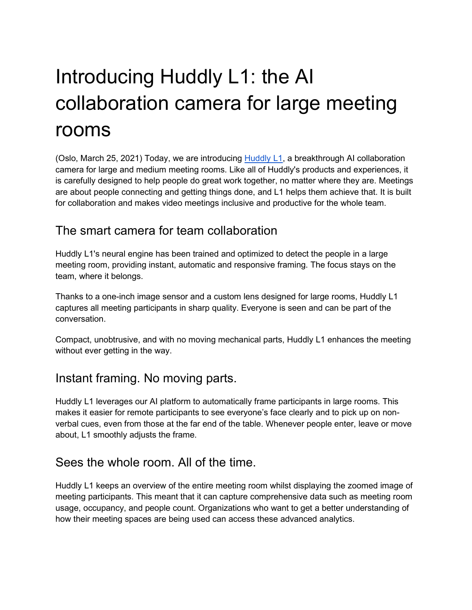# Introducing Huddly L1: the AI collaboration camera for large meeting rooms

(Oslo, March 25, 2021) Today, we are introducing [Huddly L1,](https://www.huddly.com/conference-cameras/l1/) a breakthrough AI collaboration camera for large and medium meeting rooms. Like all of Huddly's products and experiences, it is carefully designed to help people do great work together, no matter where they are. Meetings are about people connecting and getting things done, and L1 helps them achieve that. It is built for collaboration and makes video meetings inclusive and productive for the whole team.

#### The smart camera for team collaboration

Huddly L1's neural engine has been trained and optimized to detect the people in a large meeting room, providing instant, automatic and responsive framing. The focus stays on the team, where it belongs.

Thanks to a one-inch image sensor and a custom lens designed for large rooms, Huddly L1 captures all meeting participants in sharp quality. Everyone is seen and can be part of the conversation.

Compact, unobtrusive, and with no moving mechanical parts, Huddly L1 enhances the meeting without ever getting in the way.

#### Instant framing. No moving parts.

Huddly L1 leverages our AI platform to automatically frame participants in large rooms. This makes it easier for remote participants to see everyone's face clearly and to pick up on nonverbal cues, even from those at the far end of the table. Whenever people enter, leave or move about, L1 smoothly adjusts the frame.

## Sees the whole room. All of the time.

Huddly L1 keeps an overview of the entire meeting room whilst displaying the zoomed image of meeting participants. This meant that it can capture comprehensive data such as meeting room usage, occupancy, and people count. Organizations who want to get a better understanding of how their meeting spaces are being used can access these advanced analytics.